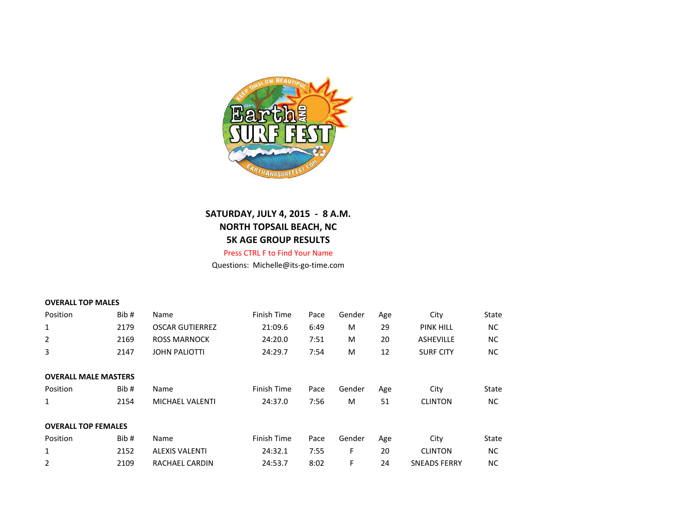

## **SATURDAY, JULY 4, 2015 - 8 A.M. NORTH TOPSAIL BEACH, NC 5K AGE GROUP RESULTS**

## Press CTRL F to Find Your Name

Questions: Michelle@its-go-time.com

| <b>OVERALL TOP MALES</b>    |      |                        |             |      |        |     |                     |       |
|-----------------------------|------|------------------------|-------------|------|--------|-----|---------------------|-------|
| Position                    | Bib# | Name                   | Finish Time | Pace | Gender | Age | City                | State |
| 1                           | 2179 | <b>OSCAR GUTIERREZ</b> | 21:09.6     | 6:49 | M      | 29  | <b>PINK HILL</b>    | NC.   |
| 2                           | 2169 | <b>ROSS MARNOCK</b>    | 24:20.0     | 7:51 | M      | 20  | <b>ASHEVILLE</b>    | NC.   |
| 3                           | 2147 | <b>JOHN PALIOTTI</b>   | 24:29.7     | 7:54 | M      | 12  | <b>SURF CITY</b>    | NC.   |
| <b>OVERALL MALE MASTERS</b> |      |                        |             |      |        |     |                     |       |
| Position                    | Bib# | Name                   | Finish Time | Pace | Gender | Age | City                | State |
| 1                           | 2154 | <b>MICHAEL VALENTI</b> | 24:37.0     | 7:56 | M      | 51  | <b>CLINTON</b>      | NC.   |
| <b>OVERALL TOP FEMALES</b>  |      |                        |             |      |        |     |                     |       |
| Position                    | Bib# | Name                   | Finish Time | Pace | Gender | Age | City                | State |
| 1                           | 2152 | <b>ALEXIS VALENTI</b>  | 24:32.1     | 7:55 | F      | 20  | <b>CLINTON</b>      | NC.   |
| $\overline{2}$              | 2109 | RACHAEL CARDIN         | 24:53.7     | 8:02 | F      | 24  | <b>SNEADS FERRY</b> | NC.   |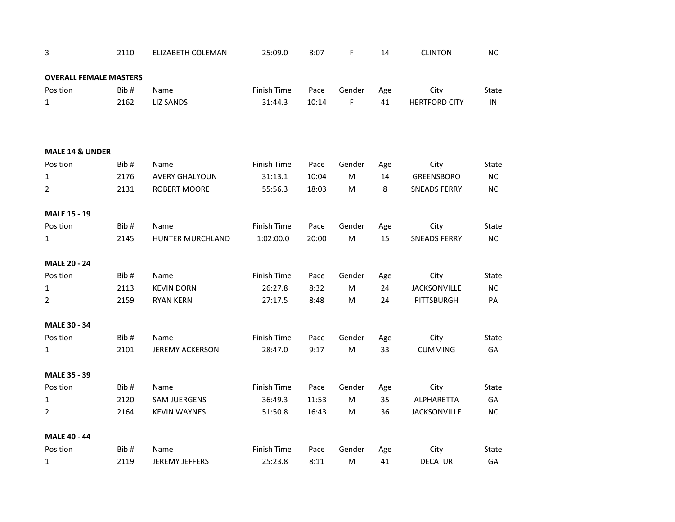| 3                             | 2110 | ELIZABETH COLEMAN      | 25:09.0     | 8:07  | F         | 14  | <b>CLINTON</b>       | NC           |
|-------------------------------|------|------------------------|-------------|-------|-----------|-----|----------------------|--------------|
| <b>OVERALL FEMALE MASTERS</b> |      |                        |             |       |           |     |                      |              |
| Position                      | Bib# | Name                   | Finish Time | Pace  | Gender    | Age | City                 | State        |
| $\mathbf{1}$                  | 2162 | <b>LIZ SANDS</b>       | 31:44.3     | 10:14 | F         | 41  | <b>HERTFORD CITY</b> | $\sf IN$     |
| <b>MALE 14 &amp; UNDER</b>    |      |                        |             |       |           |     |                      |              |
| Position                      | Bib# | Name                   | Finish Time | Pace  | Gender    | Age | City                 | State        |
| $\mathbf{1}$                  | 2176 | <b>AVERY GHALYOUN</b>  | 31:13.1     | 10:04 | M         | 14  | <b>GREENSBORO</b>    | $\sf NC$     |
| $\overline{2}$                | 2131 | <b>ROBERT MOORE</b>    | 55:56.3     | 18:03 | M         | 8   | <b>SNEADS FERRY</b>  | NC           |
| <b>MALE 15 - 19</b>           |      |                        |             |       |           |     |                      |              |
| Position                      | Bib# | Name                   | Finish Time | Pace  | Gender    | Age | City                 | <b>State</b> |
| $\mathbf{1}$                  | 2145 | HUNTER MURCHLAND       | 1:02:00.0   | 20:00 | ${\sf M}$ | 15  | <b>SNEADS FERRY</b>  | $NC$         |
| <b>MALE 20 - 24</b>           |      |                        |             |       |           |     |                      |              |
| Position                      | Bib# | Name                   | Finish Time | Pace  | Gender    | Age | City                 | State        |
| $\mathbf{1}$                  | 2113 | <b>KEVIN DORN</b>      | 26:27.8     | 8:32  | M         | 24  | <b>JACKSONVILLE</b>  | $NC$         |
| 2                             | 2159 | <b>RYAN KERN</b>       | 27:17.5     | 8:48  | M         | 24  | PITTSBURGH           | PA           |
| <b>MALE 30 - 34</b>           |      |                        |             |       |           |     |                      |              |
| Position                      | Bib# | Name                   | Finish Time | Pace  | Gender    | Age | City                 | <b>State</b> |
| $\mathbf{1}$                  | 2101 | <b>JEREMY ACKERSON</b> | 28:47.0     | 9:17  | ${\sf M}$ | 33  | <b>CUMMING</b>       | GA           |
| <b>MALE 35 - 39</b>           |      |                        |             |       |           |     |                      |              |
| Position                      | Bib# | Name                   | Finish Time | Pace  | Gender    | Age | City                 | State        |
| $\mathbf{1}$                  | 2120 | <b>SAM JUERGENS</b>    | 36:49.3     | 11:53 | M         | 35  | ALPHARETTA           | GA           |
| $\overline{2}$                | 2164 | <b>KEVIN WAYNES</b>    | 51:50.8     | 16:43 | M         | 36  | <b>JACKSONVILLE</b>  | NC           |
| MALE 40 - 44                  |      |                        |             |       |           |     |                      |              |
| Position                      | Bib# | Name                   | Finish Time | Pace  | Gender    | Age | City                 | State        |
| $\mathbf{1}$                  | 2119 | <b>JEREMY JEFFERS</b>  | 25:23.8     | 8:11  | M         | 41  | <b>DECATUR</b>       | GA           |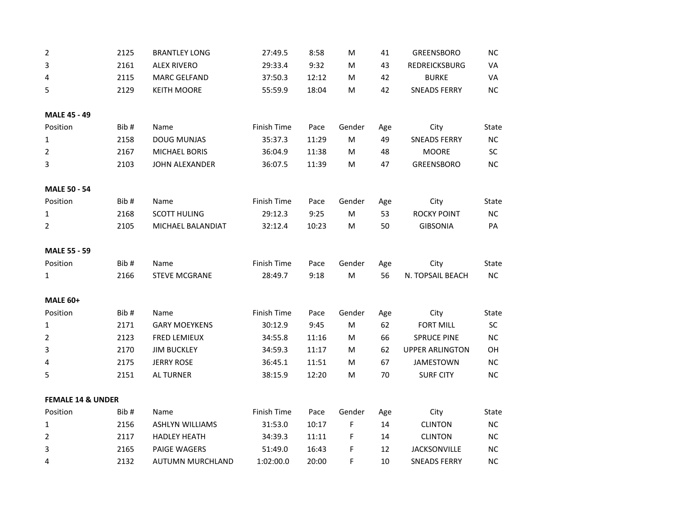| $\overline{2}$               | 2125 | <b>BRANTLEY LONG</b>   | 27:49.5     | 8:58  | M         | 41  | <b>GREENSBORO</b>      | $NC$      |
|------------------------------|------|------------------------|-------------|-------|-----------|-----|------------------------|-----------|
| 3                            | 2161 | <b>ALEX RIVERO</b>     | 29:33.4     | 9:32  | M         | 43  | REDREICKSBURG          | VA        |
| 4                            | 2115 | <b>MARC GELFAND</b>    | 37:50.3     | 12:12 | M         | 42  | <b>BURKE</b>           | VA        |
| 5                            | 2129 | <b>KEITH MOORE</b>     | 55:59.9     | 18:04 | M         | 42  | <b>SNEADS FERRY</b>    | NC        |
| <b>MALE 45 - 49</b>          |      |                        |             |       |           |     |                        |           |
| Position                     | Bib# | Name                   | Finish Time | Pace  | Gender    | Age | City                   | State     |
| 1                            | 2158 | <b>DOUG MUNJAS</b>     | 35:37.3     | 11:29 | ${\sf M}$ | 49  | <b>SNEADS FERRY</b>    | NC        |
| $\overline{2}$               | 2167 | <b>MICHAEL BORIS</b>   | 36:04.9     | 11:38 | M         | 48  | <b>MOORE</b>           | SC        |
| 3                            | 2103 | JOHN ALEXANDER         | 36:07.5     | 11:39 | ${\sf M}$ | 47  | <b>GREENSBORO</b>      | NC        |
| <b>MALE 50 - 54</b>          |      |                        |             |       |           |     |                        |           |
| Position                     | Bib# | Name                   | Finish Time | Pace  | Gender    | Age | City                   | State     |
| $\mathbf 1$                  | 2168 | <b>SCOTT HULING</b>    | 29:12.3     | 9:25  | ${\sf M}$ | 53  | <b>ROCKY POINT</b>     | NC        |
| $\overline{2}$               | 2105 | MICHAEL BALANDIAT      | 32:12.4     | 10:23 | ${\sf M}$ | 50  | <b>GIBSONIA</b>        | PA        |
| <b>MALE 55 - 59</b>          |      |                        |             |       |           |     |                        |           |
| Position                     | Bib# | Name                   | Finish Time | Pace  | Gender    | Age | City                   | State     |
| $\mathbf{1}$                 | 2166 | <b>STEVE MCGRANE</b>   | 28:49.7     | 9:18  | ${\sf M}$ | 56  | N. TOPSAIL BEACH       | NC        |
| <b>MALE 60+</b>              |      |                        |             |       |           |     |                        |           |
| Position                     | Bib# | Name                   | Finish Time | Pace  | Gender    | Age | City                   | State     |
| $\mathbf{1}$                 | 2171 | <b>GARY MOEYKENS</b>   | 30:12.9     | 9:45  | ${\sf M}$ | 62  | <b>FORT MILL</b>       | SC        |
| $\overline{2}$               | 2123 | <b>FRED LEMIEUX</b>    | 34:55.8     | 11:16 | M         | 66  | <b>SPRUCE PINE</b>     | NC        |
| 3                            | 2170 | <b>JIM BUCKLEY</b>     | 34:59.3     | 11:17 | ${\sf M}$ | 62  | <b>UPPER ARLINGTON</b> | OH        |
| 4                            | 2175 | <b>JERRY ROSE</b>      | 36:45.1     | 11:51 | M         | 67  | <b>JAMESTOWN</b>       | NC        |
| 5                            | 2151 | <b>AL TURNER</b>       | 38:15.9     | 12:20 | M         | 70  | <b>SURF CITY</b>       | NC        |
| <b>FEMALE 14 &amp; UNDER</b> |      |                        |             |       |           |     |                        |           |
| Position                     | Bib# | Name                   | Finish Time | Pace  | Gender    | Age | City                   | State     |
| $\mathbf{1}$                 | 2156 | <b>ASHLYN WILLIAMS</b> | 31:53.0     | 10:17 | F         | 14  | <b>CLINTON</b>         | NC        |
| $\overline{2}$               | 2117 | <b>HADLEY HEATH</b>    | 34:39.3     | 11:11 | F         | 14  | <b>CLINTON</b>         | <b>NC</b> |
| 3                            | 2165 | PAIGE WAGERS           | 51:49.0     | 16:43 | F         | 12  | JACKSONVILLE           | NC        |
| 4                            | 2132 | AUTUMN MURCHLAND       | 1:02:00.0   | 20:00 | F         | 10  | <b>SNEADS FERRY</b>    | NC        |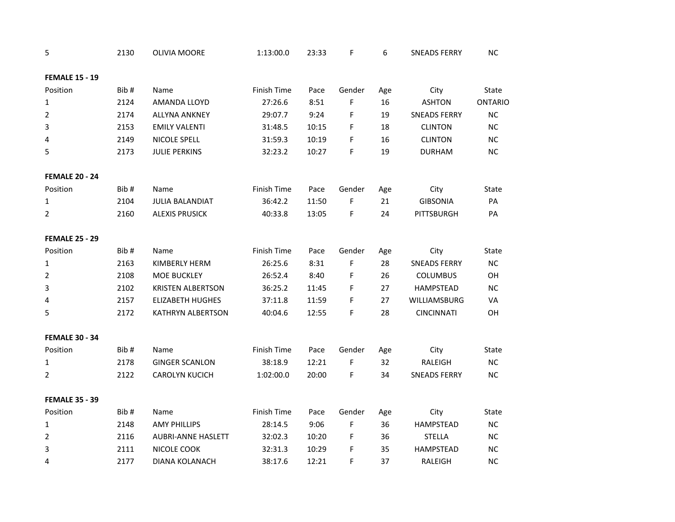| 5                     | 2130 | <b>OLIVIA MOORE</b>       | 1:13:00.0   | 23:33 | F      | 6   | <b>SNEADS FERRY</b> | NC             |
|-----------------------|------|---------------------------|-------------|-------|--------|-----|---------------------|----------------|
| <b>FEMALE 15 - 19</b> |      |                           |             |       |        |     |                     |                |
| Position              | Bib# | Name                      | Finish Time | Pace  | Gender | Age | City                | <b>State</b>   |
| 1                     | 2124 | AMANDA LLOYD              | 27:26.6     | 8:51  | F      | 16  | <b>ASHTON</b>       | <b>ONTARIO</b> |
| $\overline{2}$        | 2174 | <b>ALLYNA ANKNEY</b>      | 29:07.7     | 9:24  | F      | 19  | <b>SNEADS FERRY</b> | NC             |
| 3                     | 2153 | <b>EMILY VALENTI</b>      | 31:48.5     | 10:15 | F      | 18  | <b>CLINTON</b>      | NC             |
| 4                     | 2149 | NICOLE SPELL              | 31:59.3     | 10:19 | F      | 16  | <b>CLINTON</b>      | NC             |
| 5                     | 2173 | <b>JULIE PERKINS</b>      | 32:23.2     | 10:27 | F      | 19  | <b>DURHAM</b>       | NC             |
| <b>FEMALE 20 - 24</b> |      |                           |             |       |        |     |                     |                |
| Position              | Bib# | Name                      | Finish Time | Pace  | Gender | Age | City                | State          |
| $\mathbf{1}$          | 2104 | <b>JULIA BALANDIAT</b>    | 36:42.2     | 11:50 | F      | 21  | <b>GIBSONIA</b>     | PA             |
| $\overline{2}$        | 2160 | <b>ALEXIS PRUSICK</b>     | 40:33.8     | 13:05 | F      | 24  | PITTSBURGH          | PA             |
| <b>FEMALE 25 - 29</b> |      |                           |             |       |        |     |                     |                |
| Position              | Bib# | Name                      | Finish Time | Pace  | Gender | Age | City                | State          |
| 1                     | 2163 | KIMBERLY HERM             | 26:25.6     | 8:31  | F      | 28  | <b>SNEADS FERRY</b> | $NC$           |
| $\overline{2}$        | 2108 | MOE BUCKLEY               | 26:52.4     | 8:40  | F      | 26  | <b>COLUMBUS</b>     | OH             |
| 3                     | 2102 | <b>KRISTEN ALBERTSON</b>  | 36:25.2     | 11:45 | F      | 27  | HAMPSTEAD           | <b>NC</b>      |
| 4                     | 2157 | <b>ELIZABETH HUGHES</b>   | 37:11.8     | 11:59 | F      | 27  | WILLIAMSBURG        | VA             |
| 5                     | 2172 | <b>KATHRYN ALBERTSON</b>  | 40:04.6     | 12:55 | F      | 28  | <b>CINCINNATI</b>   | OH             |
| <b>FEMALE 30 - 34</b> |      |                           |             |       |        |     |                     |                |
| Position              | Bib# | Name                      | Finish Time | Pace  | Gender | Age | City                | <b>State</b>   |
| $\mathbf{1}$          | 2178 | <b>GINGER SCANLON</b>     | 38:18.9     | 12:21 | F      | 32  | RALEIGH             | NC             |
| 2                     | 2122 | <b>CAROLYN KUCICH</b>     | 1:02:00.0   | 20:00 | F      | 34  | <b>SNEADS FERRY</b> | NC             |
| <b>FEMALE 35 - 39</b> |      |                           |             |       |        |     |                     |                |
| Position              | Bib# | Name                      | Finish Time | Pace  | Gender | Age | City                | State          |
| 1                     | 2148 | <b>AMY PHILLIPS</b>       | 28:14.5     | 9:06  | F      | 36  | <b>HAMPSTEAD</b>    | NC             |
| $\overline{2}$        | 2116 | <b>AUBRI-ANNE HASLETT</b> | 32:02.3     | 10:20 | F      | 36  | <b>STELLA</b>       | NC             |
| 3                     | 2111 | NICOLE COOK               | 32:31.3     | 10:29 | F      | 35  | <b>HAMPSTEAD</b>    | <b>NC</b>      |
| 4                     | 2177 | DIANA KOLANACH            | 38:17.6     | 12:21 | F      | 37  | RALEIGH             | NC             |